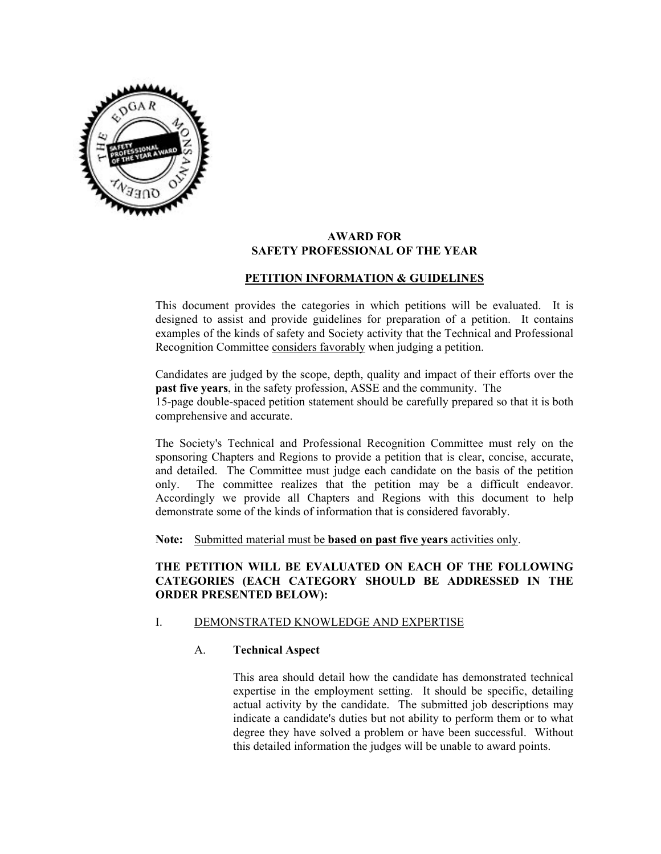

#### **AWARD FOR SAFETY PROFESSIONAL OF THE YEAR**

# **PETITION INFORMATION & GUIDELINES**

This document provides the categories in which petitions will be evaluated. It is designed to assist and provide guidelines for preparation of a petition. It contains examples of the kinds of safety and Society activity that the Technical and Professional Recognition Committee considers favorably when judging a petition.

Candidates are judged by the scope, depth, quality and impact of their efforts over the **past five years**, in the safety profession, ASSE and the community. The 15-page double-spaced petition statement should be carefully prepared so that it is both comprehensive and accurate.

The Society's Technical and Professional Recognition Committee must rely on the sponsoring Chapters and Regions to provide a petition that is clear, concise, accurate, and detailed. The Committee must judge each candidate on the basis of the petition only. The committee realizes that the petition may be a difficult endeavor. Accordingly we provide all Chapters and Regions with this document to help demonstrate some of the kinds of information that is considered favorably.

**Note:** Submitted material must be **based on past five years** activities only.

# **THE PETITION WILL BE EVALUATED ON EACH OF THE FOLLOWING CATEGORIES (EACH CATEGORY SHOULD BE ADDRESSED IN THE ORDER PRESENTED BELOW):**

# I. DEMONSTRATED KNOWLEDGE AND EXPERTISE

# A. **Technical Aspect**

This area should detail how the candidate has demonstrated technical expertise in the employment setting. It should be specific, detailing actual activity by the candidate. The submitted job descriptions may indicate a candidate's duties but not ability to perform them or to what degree they have solved a problem or have been successful. Without this detailed information the judges will be unable to award points.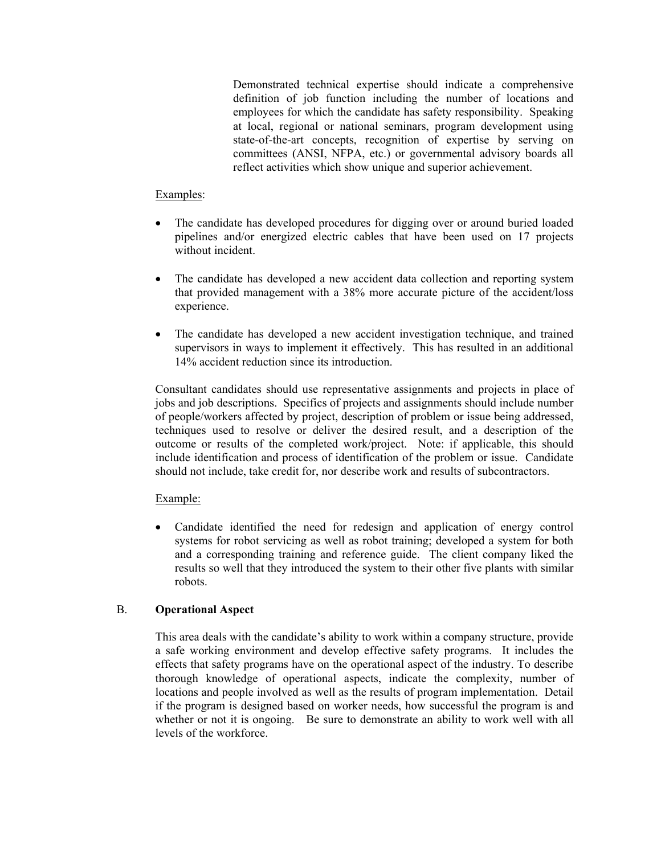Demonstrated technical expertise should indicate a comprehensive definition of job function including the number of locations and employees for which the candidate has safety responsibility. Speaking at local, regional or national seminars, program development using state-of-the-art concepts, recognition of expertise by serving on committees (ANSI, NFPA, etc.) or governmental advisory boards all reflect activities which show unique and superior achievement.

# Examples:

- The candidate has developed procedures for digging over or around buried loaded pipelines and/or energized electric cables that have been used on 17 projects without incident.
- The candidate has developed a new accident data collection and reporting system that provided management with a 38% more accurate picture of the accident/loss experience.
- The candidate has developed a new accident investigation technique, and trained supervisors in ways to implement it effectively. This has resulted in an additional 14% accident reduction since its introduction.

Consultant candidates should use representative assignments and projects in place of jobs and job descriptions. Specifics of projects and assignments should include number of people/workers affected by project, description of problem or issue being addressed, techniques used to resolve or deliver the desired result, and a description of the outcome or results of the completed work/project. Note: if applicable, this should include identification and process of identification of the problem or issue. Candidate should not include, take credit for, nor describe work and results of subcontractors.

# Example:

• Candidate identified the need for redesign and application of energy control systems for robot servicing as well as robot training; developed a system for both and a corresponding training and reference guide. The client company liked the results so well that they introduced the system to their other five plants with similar robots.

# B. **Operational Aspect**

This area deals with the candidate's ability to work within a company structure, provide a safe working environment and develop effective safety programs. It includes the effects that safety programs have on the operational aspect of the industry. To describe thorough knowledge of operational aspects, indicate the complexity, number of locations and people involved as well as the results of program implementation. Detail if the program is designed based on worker needs, how successful the program is and whether or not it is ongoing. Be sure to demonstrate an ability to work well with all levels of the workforce.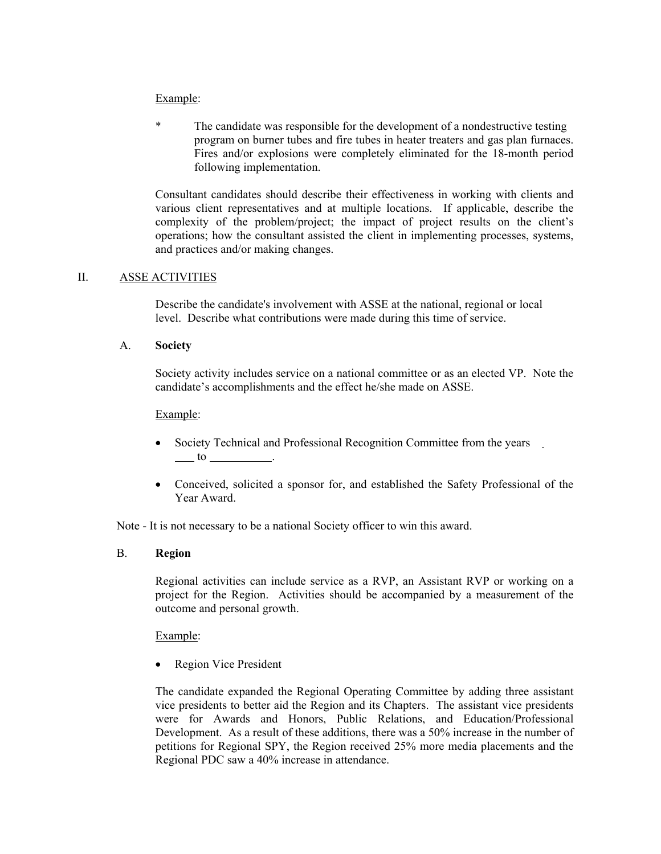# Example:

\* The candidate was responsible for the development of a nondestructive testing program on burner tubes and fire tubes in heater treaters and gas plan furnaces. Fires and/or explosions were completely eliminated for the 18-month period following implementation.

Consultant candidates should describe their effectiveness in working with clients and various client representatives and at multiple locations. If applicable, describe the complexity of the problem/project; the impact of project results on the client's operations; how the consultant assisted the client in implementing processes, systems, and practices and/or making changes.

# II. ASSE ACTIVITIES

Describe the candidate's involvement with ASSE at the national, regional or local level. Describe what contributions were made during this time of service.

#### A. **Society**

Society activity includes service on a national committee or as an elected VP. Note the candidate's accomplishments and the effect he/she made on ASSE.

#### Example:

- Society Technical and Professional Recognition Committee from the years  $\frac{\ }{}$  to  $\frac{\ }{}$ .
- Conceived, solicited a sponsor for, and established the Safety Professional of the Year Award.

Note - It is not necessary to be a national Society officer to win this award.

#### B. **Region**

Regional activities can include service as a RVP, an Assistant RVP or working on a project for the Region. Activities should be accompanied by a measurement of the outcome and personal growth.

#### Example:

Region Vice President

The candidate expanded the Regional Operating Committee by adding three assistant vice presidents to better aid the Region and its Chapters. The assistant vice presidents were for Awards and Honors, Public Relations, and Education/Professional Development. As a result of these additions, there was a 50% increase in the number of petitions for Regional SPY, the Region received 25% more media placements and the Regional PDC saw a 40% increase in attendance.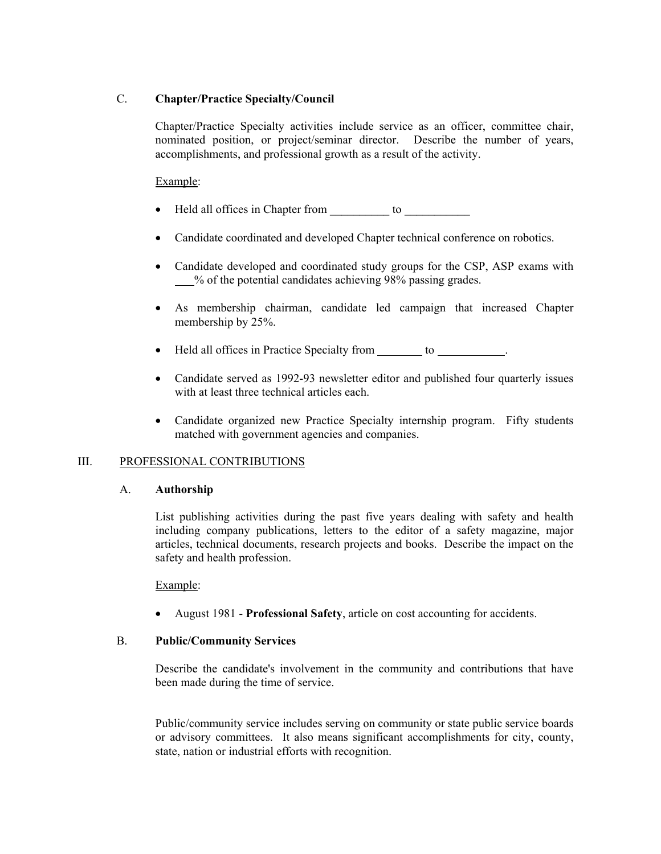# C. **Chapter/Practice Specialty/Council**

Chapter/Practice Specialty activities include service as an officer, committee chair, nominated position, or project/seminar director. Describe the number of years, accomplishments, and professional growth as a result of the activity.

Example:

- Held all offices in Chapter from to Let  $\overline{a}$  to  $\overline{b}$
- Candidate coordinated and developed Chapter technical conference on robotics.
- Candidate developed and coordinated study groups for the CSP, ASP exams with % of the potential candidates achieving 98% passing grades.
- As membership chairman, candidate led campaign that increased Chapter membership by 25%.
- Held all offices in Practice Specialty from \_\_\_\_\_\_\_ to \_\_\_\_\_\_\_\_\_\_.
- Candidate served as 1992-93 newsletter editor and published four quarterly issues with at least three technical articles each.
- Candidate organized new Practice Specialty internship program. Fifty students matched with government agencies and companies.

#### III. PROFESSIONAL CONTRIBUTIONS

#### A. **Authorship**

List publishing activities during the past five years dealing with safety and health including company publications, letters to the editor of a safety magazine, major articles, technical documents, research projects and books. Describe the impact on the safety and health profession.

Example:

• August 1981 - **Professional Safety**, article on cost accounting for accidents.

### B. **Public/Community Services**

Describe the candidate's involvement in the community and contributions that have been made during the time of service.

Public/community service includes serving on community or state public service boards or advisory committees. It also means significant accomplishments for city, county, state, nation or industrial efforts with recognition.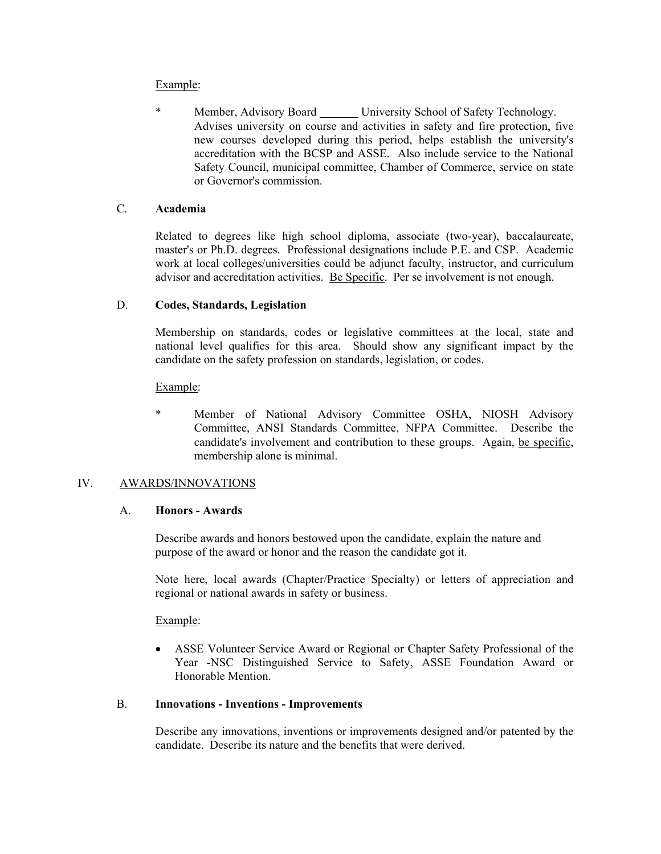# Example:

 \* Member, Advisory Board University School of Safety Technology. Advises university on course and activities in safety and fire protection, five new courses developed during this period, helps establish the university's accreditation with the BCSP and ASSE. Also include service to the National Safety Council, municipal committee, Chamber of Commerce, service on state or Governor's commission.

# C. **Academia**

Related to degrees like high school diploma, associate (two-year), baccalaureate, master's or Ph.D. degrees. Professional designations include P.E. and CSP. Academic work at local colleges/universities could be adjunct faculty, instructor, and curriculum advisor and accreditation activities. Be Specific. Per se involvement is not enough.

# D. **Codes, Standards, Legislation**

Membership on standards, codes or legislative committees at the local, state and national level qualifies for this area. Should show any significant impact by the candidate on the safety profession on standards, legislation, or codes.

#### Example:

 \* Member of National Advisory Committee OSHA, NIOSH Advisory Committee, ANSI Standards Committee, NFPA Committee. Describe the candidate's involvement and contribution to these groups. Again, be specific, membership alone is minimal.

# IV. AWARDS/INNOVATIONS

#### A. **Honors - Awards**

Describe awards and honors bestowed upon the candidate, explain the nature and purpose of the award or honor and the reason the candidate got it.

Note here, local awards (Chapter/Practice Specialty) or letters of appreciation and regional or national awards in safety or business.

#### Example:

• ASSE Volunteer Service Award or Regional or Chapter Safety Professional of the Year -NSC Distinguished Service to Safety, ASSE Foundation Award or Honorable Mention.

#### B. **Innovations - Inventions - Improvements**

Describe any innovations, inventions or improvements designed and/or patented by the candidate. Describe its nature and the benefits that were derived.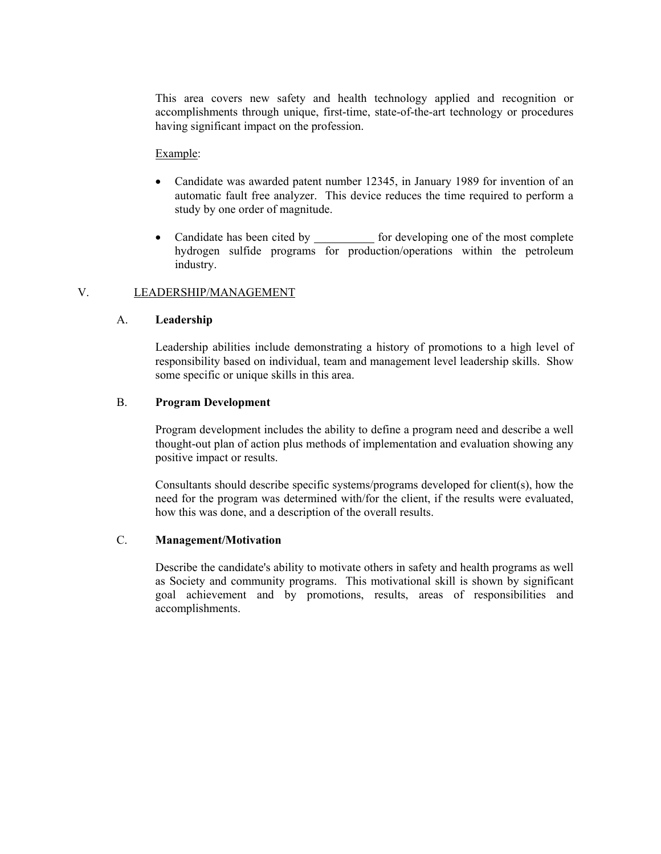This area covers new safety and health technology applied and recognition or accomplishments through unique, first-time, state-of-the-art technology or procedures having significant impact on the profession.

### Example:

- Candidate was awarded patent number 12345, in January 1989 for invention of an automatic fault free analyzer. This device reduces the time required to perform a study by one order of magnitude.
- Candidate has been cited by for developing one of the most complete hydrogen sulfide programs for production/operations within the petroleum industry.

# V. LEADERSHIP/MANAGEMENT

# A. **Leadership**

Leadership abilities include demonstrating a history of promotions to a high level of responsibility based on individual, team and management level leadership skills. Show some specific or unique skills in this area.

#### B. **Program Development**

Program development includes the ability to define a program need and describe a well thought-out plan of action plus methods of implementation and evaluation showing any positive impact or results.

Consultants should describe specific systems/programs developed for client(s), how the need for the program was determined with/for the client, if the results were evaluated, how this was done, and a description of the overall results.

#### C. **Management/Motivation**

Describe the candidate's ability to motivate others in safety and health programs as well as Society and community programs. This motivational skill is shown by significant goal achievement and by promotions, results, areas of responsibilities and accomplishments.